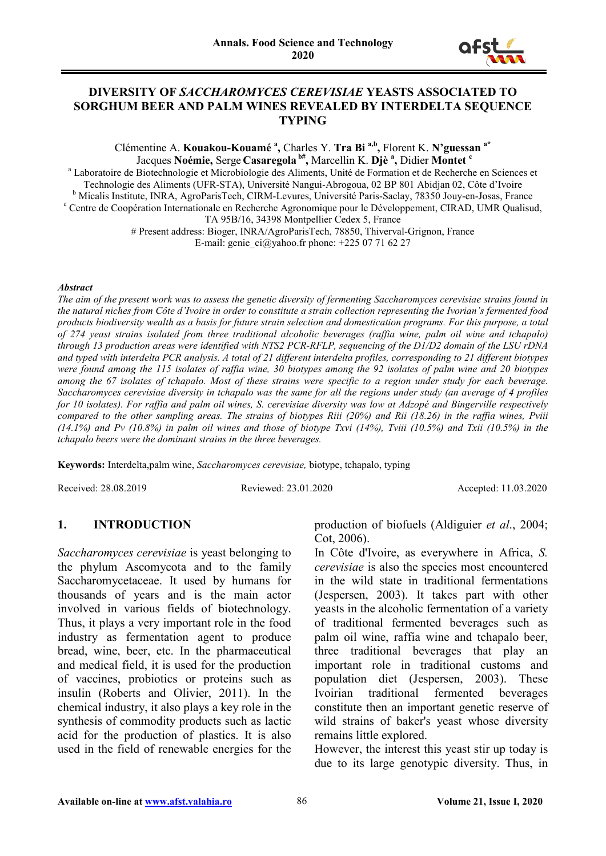

### **DIVERSITY OF** *SACCHAROMYCES CEREVISIAE* **YEASTS ASSOCIATED TO SORGHUM BEER AND PALM WINES REVEALED BY INTERDELTA SEQUENCE TYPING**

Clémentine A. **Kouakou-Kouamé <sup>a</sup> ,** Charles Y. **Tra Bi a,b,** Florent K. **N'guessan a\*** Jacques **Noémie,** Serge **Casaregola b#,** Marcellin K. **Djè <sup>a</sup> ,** Didier **Montet c**

<sup>a</sup> Laboratoire de Biotechnologie et Microbiologie des Aliments, Unité de Formation et de Recherche en Sciences et Technologie des Aliments (UFR-STA), Université Nangui-Abrogoua, 02 BP 801 Abidjan 02, Côte d'Ivoire <sup>b</sup> Micalis Institute, INRA, AgroParisTech, CIRM-Levures, Université Paris-Saclay, 78350 Jouy-en-Josas, France <sup>c</sup> Centre de Coopération Internationale en Recherche Agronomique pour le Développement, CIRAD, UMR Qualisud, TA 95B/16, 34398 Montpellier Cedex 5, France # Present address: Bioger, INRA/AgroParisTech, 78850, Thiverval-Grignon, France

E-mail: [genie\\_ci@yahoo.fr](mailto:genie_ci@yahoo.fr) phone:  $+225$  07 71 62 27

#### *Abstract*

*The aim of the present work was to assess the genetic diversity of fermenting Saccharomyces cerevisiae strains found in the natural niches from Côte d'Ivoire in order to constitute a strain collection representing the Ivorian's fermented food products biodiversity wealth as a basis for future strain selection and domestication programs. For this purpose, a total of 274 yeast strains isolated from three traditional alcoholic beverages (raffia wine, palm oil wine and tchapalo) through 13 production areas were identified with NTS2 PCR-RFLP, sequencing of the D1/D2 domain of the LSU rDNA and typed with interdelta PCR analysis. A total of 21 different interdelta profiles, corresponding to 21 different biotypes were found among the 115 isolates of raffia wine, 30 biotypes among the 92 isolates of palm wine and 20 biotypes among the 67 isolates of tchapalo. Most of these strains were specific to a region under study for each beverage. Saccharomyces cerevisiae diversity in tchapalo was the same for all the regions under study (an average of 4 profiles for 10 isolates). For raffia and palm oil wines, S. cerevisiae diversity was low at Adzopé and Bingerville respectively compared to the other sampling areas. The strains of biotypes Riii (20%) and Rii (18.26) in the raffia wines, Pviii (14.1%) and Pv (10.8%) in palm oil wines and those of biotype Txvi (14%), Tviii (10.5%) and Txii (10.5%) in the tchapalo beers were the dominant strains in the three beverages.*

**Keywords:** Interdelta,palm wine, *Saccharomyces cerevisiae,* biotype, tchapalo, typing

Received: 28.08.2019 Reviewed: 23.01.2020 Accepted: 11.03.2020

# **1. INTRODUCTION**

*Saccharomyces cerevisiae* is yeast belonging to the phylum Ascomycota and to the family Saccharomycetaceae. It used by humans for thousands of years and is the main actor involved in various fields of biotechnology. Thus, it plays a very important role in the food industry as fermentation agent to produce bread, wine, beer, etc. In the pharmaceutical and medical field, it is used for the production of vaccines, probiotics or proteins such as insulin (Roberts and Olivier, 2011). In the chemical industry, it also plays a key role in the synthesis of commodity products such as lactic acid for the production of plastics. It is also used in the field of renewable energies for the

production of biofuels (Aldiguier *et al*., 2004; Cot, 2006).

In Côte d'Ivoire, as everywhere in Africa, *S. cerevisiae* is also the species most encountered in the wild state in traditional fermentations (Jespersen, 2003). It takes part with other yeasts in the alcoholic fermentation of a variety of traditional fermented beverages such as palm oil wine, raffia wine and tchapalo beer, three traditional beverages that play an important role in traditional customs and population diet (Jespersen, 2003). These Ivoirian traditional fermented beverages constitute then an important genetic reserve of wild strains of baker's yeast whose diversity remains little explored.

However, the interest this yeast stir up today is due to its large genotypic diversity. Thus, in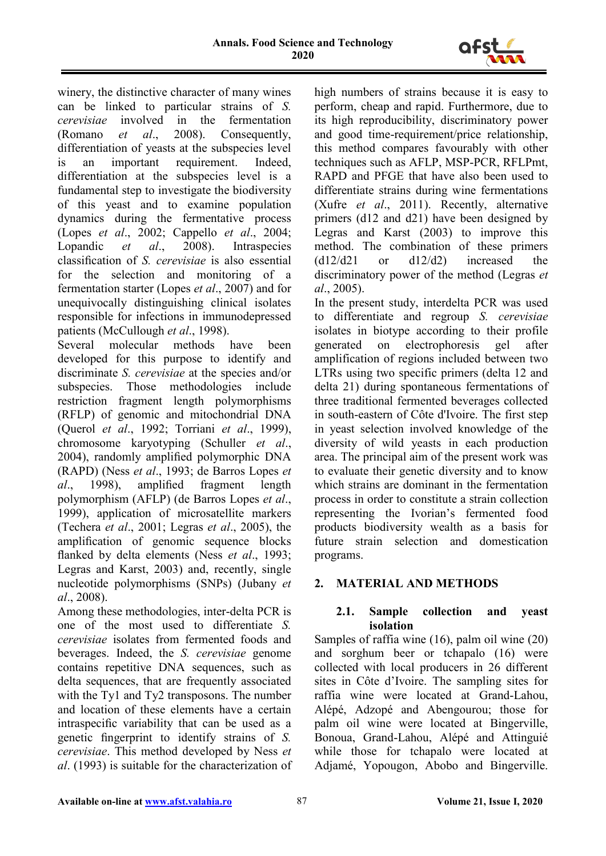

winery, the distinctive character of many wines can be linked to particular strains of *S. cerevisiae* involved in the fermentation (Romano *et al*., 2008). Consequently, differentiation of yeasts at the subspecies level is an important requirement. Indeed, differentiation at the subspecies level is a fundamental step to investigate the biodiversity of this yeast and to examine population dynamics during the fermentative process (Lopes *et al*., 2002; Cappello *et al*., 2004; Lopandic *et al.*, 2008). Intraspecies classification of *S. cerevisiae* is also essential for the selection and monitoring of a fermentation starter (Lopes *et al*., 2007) and for unequivocally distinguishing clinical isolates responsible for infections in immunodepressed patients (McCullough *et al*., 1998).

Several molecular methods have been developed for this purpose to identify and discriminate *S. cerevisiae* at the species and/or subspecies. Those methodologies include restriction fragment length polymorphisms (RFLP) of genomic and mitochondrial DNA (Querol *et al*., 1992; Torriani *et al*., 1999), chromosome karyotyping (Schuller *et al*., 2004), randomly amplified polymorphic DNA (RAPD) (Ness *et al*., 1993; de Barros Lopes *et al*., 1998), amplified fragment length polymorphism (AFLP) (de Barros Lopes *et al*., 1999), application of microsatellite markers (Techera *et al*., 2001; Legras *et al*., 2005), the amplification of genomic sequence blocks flanked by delta elements (Ness *et al*., 1993; Legras and Karst, 2003) and, recently, single nucleotide polymorphisms (SNPs) (Jubany *et al*., 2008).

Among these methodologies, inter-delta PCR is one of the most used to differentiate *S. cerevisiae* isolates from fermented foods and beverages. Indeed, the *S. cerevisiae* genome contains repetitive DNA sequences, such as delta sequences, that are frequently associated with the Ty1 and Ty2 transposons. The number and location of these elements have a certain intraspecific variability that can be used as a genetic fingerprint to identify strains of *S. cerevisiae*. This method developed by Ness *et al*. (1993) is suitable for the characterization of high numbers of strains because it is easy to perform, cheap and rapid. Furthermore, due to its high reproducibility, discriminatory power and good time-requirement/price relationship, this method compares favourably with other techniques such as AFLP, MSP-PCR, RFLPmt, RAPD and PFGE that have also been used to differentiate strains during wine fermentations (Xufre *et al*., 2011). Recently, alternative primers (d12 and d21) have been designed by Legras and Karst (2003) to improve this method. The combination of these primers (d12/d21 or d12/d2) increased the discriminatory power of the method (Legras *et al*., 2005).

In the present study, interdelta PCR was used to differentiate and regroup *S. cerevisiae* isolates in biotype according to their profile generated on electrophoresis gel after amplification of regions included between two LTRs using two specific primers (delta 12 and delta 21) during spontaneous fermentations of three traditional fermented beverages collected in south-eastern of Côte d'Ivoire. The first step in yeast selection involved knowledge of the diversity of wild yeasts in each production area. The principal aim of the present work was to evaluate their genetic diversity and to know which strains are dominant in the fermentation process in order to constitute a strain collection representing the Ivorian's fermented food products biodiversity wealth as a basis for future strain selection and domestication programs.

# **2. MATERIAL AND METHODS**

# **2.1. Sample collection and yeast isolation**

Samples of raffia wine (16), palm oil wine (20) and sorghum beer or tchapalo (16) were collected with local producers in 26 different sites in Côte d'Ivoire. The sampling sites for raffia wine were located at Grand-Lahou, Alépé, Adzopé and Abengourou; those for palm oil wine were located at Bingerville, Bonoua, Grand-Lahou, Alépé and Attinguié while those for tchapalo were located at Adjamé, Yopougon, Abobo and Bingerville.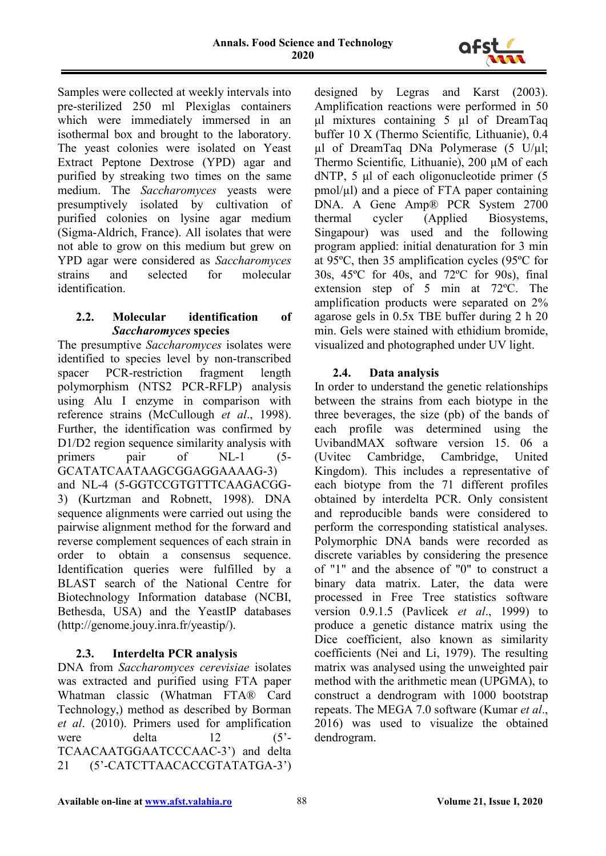

Samples were collected at weekly intervals into pre-sterilized 250 ml Plexiglas containers which were immediately immersed in an isothermal box and brought to the laboratory. The yeast colonies were isolated on Yeast Extract Peptone Dextrose (YPD) agar and purified by streaking two times on the same medium. The *Saccharomyces* yeasts were presumptively isolated by cultivation of purified colonies on lysine agar medium (Sigma-Aldrich, France). All isolates that were not able to grow on this medium but grew on YPD agar were considered as *Saccharomyces* strains and selected for molecular identification.

### **2.2. Molecular identification of**  *Saccharomyces* **species**

The presumptive *Saccharomyces* isolates were identified to species level by non-transcribed spacer PCR-restriction fragment length polymorphism (NTS2 PCR-RFLP) analysis using Alu I enzyme in comparison with reference strains (McCullough *et al*., 1998). Further, the identification was confirmed by D1/D2 region sequence similarity analysis with primers pair of NL-1 (5-GCATATCAATAAGCGGAGGAAAAG-3) and NL-4 (5-GGTCCGTGTTTCAAGACGG-3) (Kurtzman and Robnett, 1998). DNA sequence alignments were carried out using the pairwise alignment method for the forward and reverse complement sequences of each strain in order to obtain a consensus sequence. Identification queries were fulfilled by a BLAST search of the National Centre for Biotechnology Information database (NCBI, Bethesda, USA) and the YeastIP databases (http://genome.jouy.inra.fr/yeastip/).

# **2.3. Interdelta PCR analysis**

DNA from *Saccharomyces cerevisiae* isolates was extracted and purified using FTA paper Whatman classic (Whatman FTA® Card Technology,) method as described by Borman *et al*. (2010). Primers used for amplification were delta 12 (5<sup>\*</sup>-TCAACAATGGAATCCCAAC-3') and delta 21 (5'-CATCTTAACACCGTATATGA-3')

designed by Legras and Karst (2003). Amplification reactions were performed in 50 μl mixtures containing 5 µl of DreamTaq buffer 10 X (Thermo Scientific*,* Lithuanie), 0.4 µl of DreamTaq DNa Polymerase (5 U/µl; Thermo Scientific*,* Lithuanie), 200 μM of each dNTP, 5 μl of each oligonucleotide primer (5)  $pmol/µl$ ) and a piece of FTA paper containing DNA. A Gene Amp® PCR System 2700 thermal cycler (Applied Biosystems, Singapour) was used and the following program applied: initial denaturation for 3 min at 95ºC, then 35 amplification cycles (95ºC for 30s, 45ºC for 40s, and 72ºC for 90s), final extension step of 5 min at 72ºC. The amplification products were separated on 2% agarose gels in 0.5x TBE buffer during 2 h 20 min. Gels were stained with ethidium bromide, visualized and photographed under UV light.

# **2.4. Data analysis**

In order to understand the genetic relationships between the strains from each biotype in the three beverages, the size (pb) of the bands of each profile was determined using the UvibandMAX software version 15. 06 a (Uvitec Cambridge, Cambridge, United Kingdom). This includes a representative of each biotype from the 71 different profiles obtained by interdelta PCR. Only consistent and reproducible bands were considered to perform the corresponding statistical analyses. Polymorphic DNA bands were recorded as discrete variables by considering the presence of "1" and the absence of "0" to construct a binary data matrix. Later, the data were processed in Free Tree statistics software version 0.9.1.5 (Pavlicek *et al*., 1999) to produce a genetic distance matrix using the Dice coefficient, also known as similarity coefficients (Nei and Li, 1979). The resulting matrix was analysed using the unweighted pair method with the arithmetic mean (UPGMA), to construct a dendrogram with 1000 bootstrap repeats. The MEGA 7.0 software (Kumar *et al*., 2016) was used to visualize the obtained dendrogram.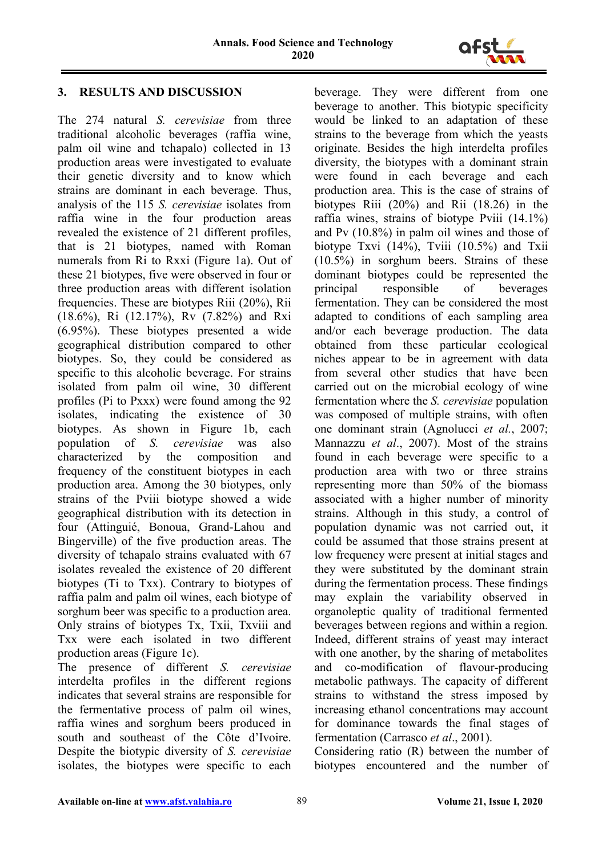

# **3. RESULTS AND DISCUSSION**

The 274 natural *S. cerevisiae* from three traditional alcoholic beverages (raffia wine, palm oil wine and tchapalo) collected in 13 production areas were investigated to evaluate their genetic diversity and to know which strains are dominant in each beverage. Thus, analysis of the 115 *S. cerevisiae* isolates from raffia wine in the four production areas revealed the existence of 21 different profiles, that is 21 biotypes, named with Roman numerals from Ri to Rxxi (Figure 1a). Out of these 21 biotypes, five were observed in four or three production areas with different isolation frequencies. These are biotypes Riii (20%), Rii (18.6%), Ri (12.17%), Rv (7.82%) and Rxi (6.95%). These biotypes presented a wide geographical distribution compared to other biotypes. So, they could be considered as specific to this alcoholic beverage. For strains isolated from palm oil wine, 30 different profiles (Pi to Pxxx) were found among the 92 isolates, indicating the existence of 30 biotypes. As shown in Figure 1b, each population of *S. cerevisiae* was also characterized by the composition and frequency of the constituent biotypes in each production area. Among the 30 biotypes, only strains of the Pviii biotype showed a wide geographical distribution with its detection in four (Attinguié, Bonoua, Grand-Lahou and Bingerville) of the five production areas. The diversity of tchapalo strains evaluated with 67 isolates revealed the existence of 20 different biotypes (Ti to Txx). Contrary to biotypes of raffia palm and palm oil wines, each biotype of sorghum beer was specific to a production area. Only strains of biotypes Tx, Txii, Txviii and Txx were each isolated in two different production areas (Figure 1c).

The presence of different *S. cerevisiae* interdelta profiles in the different regions indicates that several strains are responsible for the fermentative process of palm oil wines, raffia wines and sorghum beers produced in south and southeast of the Côte d'Ivoire. Despite the biotypic diversity of *S. cerevisiae*  isolates, the biotypes were specific to each

beverage. They were different from one beverage to another. This biotypic specificity would be linked to an adaptation of these strains to the beverage from which the yeasts originate. Besides the high interdelta profiles diversity, the biotypes with a dominant strain were found in each beverage and each production area. This is the case of strains of biotypes Riii (20%) and Rii (18.26) in the raffia wines, strains of biotype Pviii (14.1%) and Pv (10.8%) in palm oil wines and those of biotype Txvi (14%), Tviii (10.5%) and Txii (10.5%) in sorghum beers. Strains of these dominant biotypes could be represented the principal responsible of beverages fermentation. They can be considered the most adapted to conditions of each sampling area and/or each beverage production. The data obtained from these particular ecological niches appear to be in agreement with data from several other studies that have been carried out on the microbial ecology of wine fermentation where the *S. cerevisiae* population was composed of multiple strains, with often one dominant strain (Agnolucci *et al.*, 2007; Mannazzu *et al*., 2007). Most of the strains found in each beverage were specific to a production area with two or three strains representing more than 50% of the biomass associated with a higher number of minority strains. Although in this study, a control of population dynamic was not carried out, it could be assumed that those strains present at low frequency were present at initial stages and they were substituted by the dominant strain during the fermentation process. These findings may explain the variability observed in organoleptic quality of traditional fermented beverages between regions and within a region. Indeed, different strains of yeast may interact with one another, by the sharing of metabolites and co-modification of flavour-producing metabolic pathways. The capacity of different strains to withstand the stress imposed by increasing ethanol concentrations may account for dominance towards the final stages of fermentation (Carrasco *et al*., 2001).

Considering ratio (R) between the number of biotypes encountered and the number of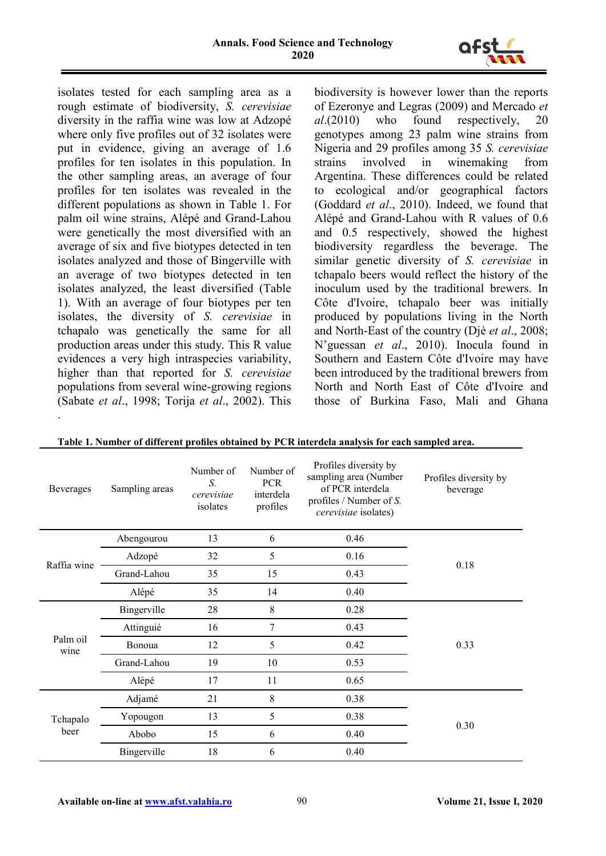

isolates tested for each sampling area as a rough estimate of biodiversity, *S. cerevisiae* diversity in the raffia wine was low at Adzopé where only five profiles out of 32 isolates were put in evidence, giving an average of 1.6 profiles for ten isolates in this population. In the other sampling areas, an average of four profiles for ten isolates was revealed in the different populations as shown in Table 1. For palm oil wine strains, Alépé and Grand-Lahou were genetically the most diversified with an average of six and five biotypes detected in ten isolates analyzed and those of Bingerville with an average of two biotypes detected in ten isolates analyzed, the least diversified (Table 1). With an average of four biotypes per ten isolates, the diversity of *S. cerevisiae* in tchapalo was genetically the same for all production areas under this study. This R value evidences a very high intraspecies variability, higher than that reported for *S. cerevisiae* populations from several wine-growing regions (Sabate *et al*., 1998; Torija *et al*., 2002). This .

biodiversity is however lower than the reports of Ezeronye and Legras (2009) and Mercado *et al*.(2010) who found respectively, 20 genotypes among 23 palm wine strains from Nigeria and 29 profiles among 35 *S. cerevisiae* strains involved in winemaking from Argentina. These differences could be related to ecological and/or geographical factors (Goddard *et al*., 2010). Indeed, we found that Alépé and Grand-Lahou with R values of 0.6 and 0.5 respectively, showed the highest biodiversity regardless the beverage. The similar genetic diversity of *S. cerevisiae* in tchapalo beers would reflect the history of the inoculum used by the traditional brewers. In Côte d'Ivoire, tchapalo beer was initially produced by populations living in the North and North-East of the country (Djè *et al*., 2008; N'guessan *et al*., 2010). Inocula found in Southern and Eastern Côte d'Ivoire may have been introduced by the traditional brewers from North and North East of Côte d'Ivoire and those of Burkina Faso, Mali and Ghana

| Beverages        | Sampling areas | Number of<br>S.<br>cerevisiae<br>isolates | Number of<br><b>PCR</b><br>interdela<br>profiles | Profiles diversity by<br>sampling area (Number<br>of PCR interdela<br>profiles / Number of S.<br>cerevisiae isolates) | Profiles diversity by<br>beverage |
|------------------|----------------|-------------------------------------------|--------------------------------------------------|-----------------------------------------------------------------------------------------------------------------------|-----------------------------------|
| Raffia wine      | Abengourou     | 13                                        | 6                                                | 0.46                                                                                                                  | 0.18                              |
|                  | Adzopé         | 32                                        | 5                                                | 0.16                                                                                                                  |                                   |
|                  | Grand-Lahou    | 35                                        | 15                                               | 0.43                                                                                                                  |                                   |
|                  | Alépé          | 35                                        | 14                                               | 0.40                                                                                                                  |                                   |
| Palm oil<br>wine | Bingerville    | 28                                        | 8                                                | 0.28                                                                                                                  | 0.33                              |
|                  | Attinguié      | 16                                        | 7                                                | 0.43                                                                                                                  |                                   |
|                  | Bonoua         | 12                                        | 5                                                | 0.42                                                                                                                  |                                   |
|                  | Grand-Lahou    | 19                                        | 10                                               | 0.53                                                                                                                  |                                   |
|                  | Alépé          | 17                                        | 11                                               | 0.65                                                                                                                  |                                   |
| Tchapalo<br>beer | Adjamé         | 21                                        | 8                                                | 0.38                                                                                                                  | 0.30                              |
|                  | Yopougon       | 13                                        | 5                                                | 0.38                                                                                                                  |                                   |
|                  | Abobo          | 15                                        | 6                                                | 0.40                                                                                                                  |                                   |
|                  | Bingerville    | 18                                        | 6                                                | 0.40                                                                                                                  |                                   |

**Table 1. Number of different profiles obtained by PCR interdela analysis for each sampled area.**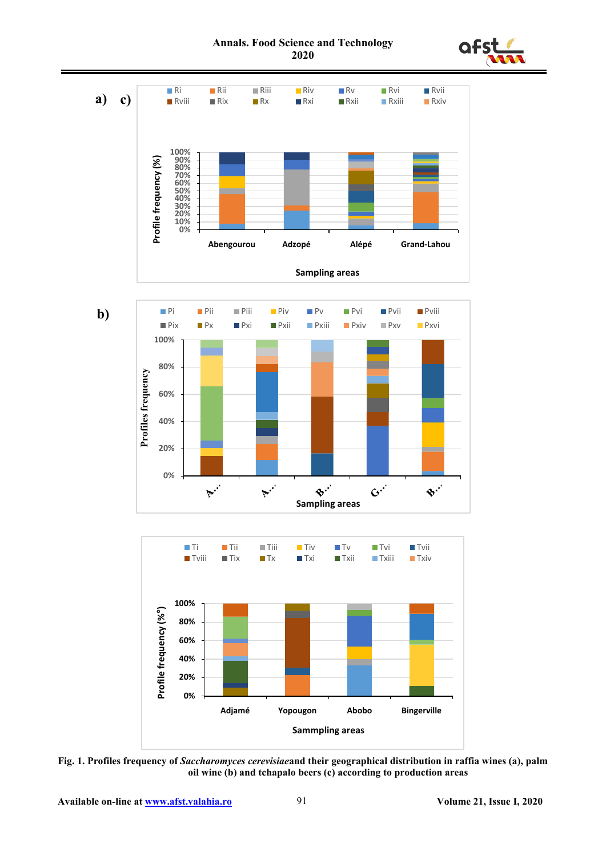



**Fig. 1. Profiles frequency of** *Saccharomyces cerevisiae***and their geographical distribution in raffia wines (a), palm oil wine (b) and tchapalo beers (c) according to production areas**

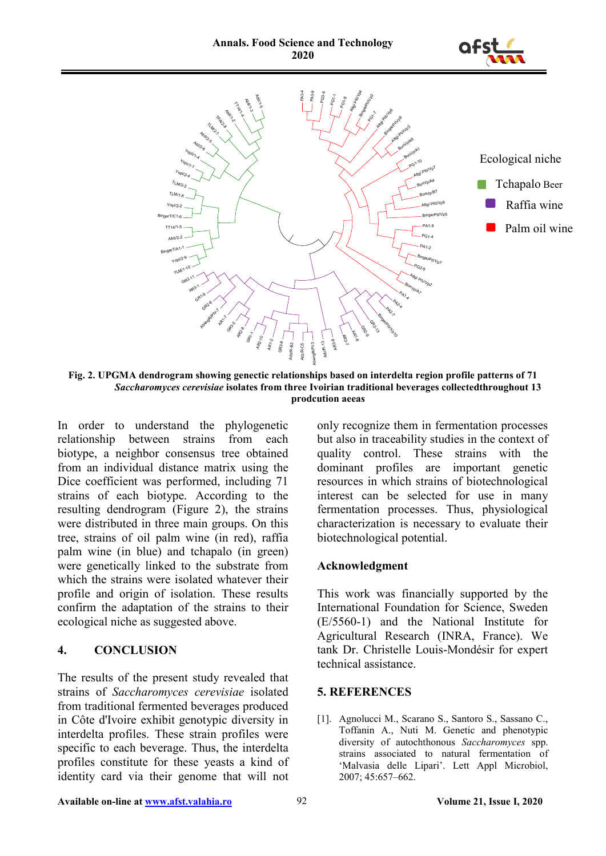



**Fig. 2. UPGMA dendrogram showing genectic relationships based on interdelta region profile patterns of 71**  *Saccharomyces cerevisiae* **isolates from three Ivoirian traditional beverages collectedthroughout 13 prodcution aeeas**

In order to understand the phylogenetic relationship between strains from each biotype, a neighbor consensus tree obtained from an individual distance matrix using the Dice coefficient was performed, including 71 strains of each biotype. According to the resulting dendrogram (Figure 2), the strains were distributed in three main groups. On this tree, strains of oil palm wine (in red), raffia palm wine (in blue) and tchapalo (in green) were genetically linked to the substrate from which the strains were isolated whatever their profile and origin of isolation. These results confirm the adaptation of the strains to their ecological niche as suggested above.

### **4. CONCLUSION**

The results of the present study revealed that strains of *Saccharomyces cerevisiae* isolated from traditional fermented beverages produced in Côte d'Ivoire exhibit genotypic diversity in interdelta profiles. These strain profiles were specific to each beverage. Thus, the interdelta profiles constitute for these yeasts a kind of identity card via their genome that will not only recognize them in fermentation processes but also in traceability studies in the context of quality control. These strains with the dominant profiles are important genetic resources in which strains of biotechnological interest can be selected for use in many fermentation processes. Thus, physiological characterization is necessary to evaluate their biotechnological potential.

# **Acknowledgment**

This work was financially supported by the International Foundation for Science, Sweden (E/5560-1) and the National Institute for Agricultural Research (INRA, France). We tank Dr. Christelle Louis-Mondésir for expert technical assistance.

### **5. REFERENCES**

[1]. Agnolucci M., Scarano S., Santoro S., Sassano C., Toffanin A., Nuti M. Genetic and phenotypic diversity of autochthonous *Saccharomyces* spp. strains associated to natural fermentation of 'Malvasia delle Lipari'. Lett Appl Microbiol, 2007; 45:657–662.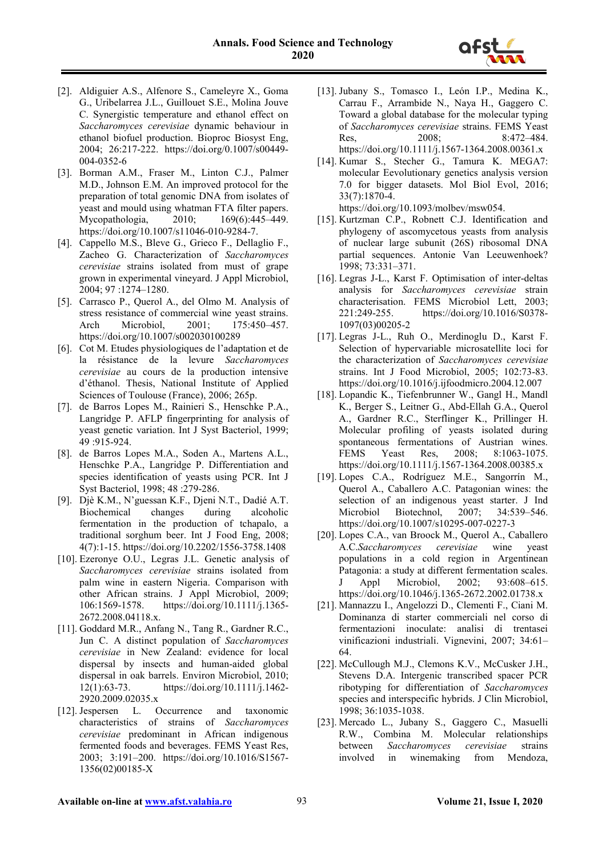

- [2]. Aldiguier A.S., Alfenore S., Cameleyre X., Goma G., Uribelarrea J.L., Guillouet S.E., Molina Jouve C. Synergistic temperature and ethanol effect on *Saccharomyces cerevisiae* dynamic behaviour in ethanol biofuel production. Bioproc Biosyst Eng, 2004; 26:217-222. [https://doi.org/0.1007/s00449-](https://doi.org/0.1007/s00449-004-0352-6) [004-0352-6](https://doi.org/0.1007/s00449-004-0352-6)
- [3]. Borman A.M., Fraser M., Linton C.J., Palmer M.D., Johnson E.M. An improved protocol for the preparation of total genomic DNA from isolates of yeast and mould using whatman FTA filter papers. Mycopathologia, 2010; 169(6):445–449. [https://doi.org/10.1007/s11046-010-9284-7.](https://doi.org/10.1007/s11046-010-9284-7)
- [4]. Cappello M.S., Bleve G., Grieco F., Dellaglio F., Zacheo G. Characterization of *Saccharomyces cerevisiae* strains isolated from must of grape grown in experimental vineyard. J Appl Microbiol, 2004; 97 :1274–1280.
- [5]. Carrasco P., Querol A., del Olmo M. Analysis of stress resistance of commercial wine yeast strains. Arch Microbiol, 2001; 175:450-457. <https://doi.org/10.1007/s002030100289>
- [6]. Cot M. Etudes physiologiques de l'adaptation et de la résistance de la levure *Saccharomyces cerevisiae* au cours de la production intensive d'éthanol. Thesis, National Institute of Applied Sciences of Toulouse (France), 2006; 265p.
- [7]. de Barros Lopes M., Rainieri S., Henschke P.A., Langridge P. AFLP fingerprinting for analysis of yeast genetic variation. Int J Syst Bacteriol, 1999; 49 :915-924.
- [8]. de Barros Lopes M.A., Soden A., Martens A.L., Henschke P.A., Langridge P. Differentiation and species identification of yeasts using PCR. Int J Syst Bacteriol, 1998; 48 :279-286.
- [9]. Djè K.M., N'guessan K.F., Djeni N.T., Dadié A.T. Biochemical changes during alcoholic fermentation in the production of tchapalo, a traditional sorghum beer. Int J Food Eng, 2008; 4(7):1-15.<https://doi.org/10.2202/1556-3758.1408>
- [10]. Ezeronye O.U., Legras J.L. Genetic analysis of *Saccharomyces cerevisiae* strains isolated from palm wine in eastern Nigeria. Comparison with other African strains. J Appl Microbiol, 2009; 106:1569-1578. [https://doi.org/10.1111/j.1365-](https://doi.org/10.1111/j.1365-2672.2008.04118.x) [2672.2008.04118.x.](https://doi.org/10.1111/j.1365-2672.2008.04118.x)
- [11]. Goddard M.R., Anfang N., Tang R., Gardner R.C., Jun C. A distinct population of *Saccharomyces cerevisiae* in New Zealand: evidence for local dispersal by insects and human-aided global dispersal in oak barrels. Environ Microbiol, 2010; 12(1):63-73. [https://doi.org/10.1111/j.1462-](https://doi.org/10.1111/j.1462-2920.2009.02035.x) [2920.2009.02035.x](https://doi.org/10.1111/j.1462-2920.2009.02035.x)
- [12]. Jespersen L. Occurrence and taxonomic characteristics of strains of *Saccharomyces cerevisiae* predominant in African indigenous fermented foods and beverages. FEMS Yeast Res, 2003; 3:191–200. [https://doi.org/10.1016/S1567-](https://doi.org/10.1016/S1567-1356(02)00185-X) [1356\(02\)00185-X](https://doi.org/10.1016/S1567-1356(02)00185-X)
- [13]. Jubany S., Tomasco I., León I.P., Medina K., Carrau F., Arrambide N., Naya H., Gaggero C. Toward a global database for the molecular typing of *Saccharomyces cerevisiae* strains. FEMS Yeast Res. 2008; 8:472–484. <https://doi.org/10.1111/j.1567-1364.2008.00361.x>
- [14]. Kumar S., Stecher G., Tamura K. MEGA7: molecular Eevolutionary genetics analysis version 7.0 for bigger datasets. Mol Biol Evol, 2016; 33(7):1870-4.

[https://doi.org/10.1093/molbev/msw054.](https://doi.org/10.1093/molbev/msw054)

- [15]. Kurtzman C.P., Robnett C.J. Identification and phylogeny of ascomycetous yeasts from analysis of nuclear large subunit (26S) ribosomal DNA partial sequences. Antonie Van Leeuwenhoek? 1998; 73:331–371.
- [16]. Legras J-L., Karst F. Optimisation of inter-deltas analysis for *Saccharomyces cerevisiae* strain characterisation. FEMS Microbiol Lett, 2003; 221:249-255. [https://doi.org/10.1016/S0378-](https://doi.org/10.1016/S0378-1097(03)00205-2) [1097\(03\)00205-2](https://doi.org/10.1016/S0378-1097(03)00205-2)
- [17]. Legras J-L., Ruh O., Merdinoglu D., Karst F. Selection of hypervariable microsatellite loci for the characterization of *Saccharomyces cerevisiae* strains. Int J Food Microbiol, 2005; 102:73-83. <https://doi.org/10.1016/j.ijfoodmicro.2004.12.007>
- [18]. Lopandic K., Tiefenbrunner W., Gangl H., Mandl K., Berger S., Leitner G., Abd-Ellah G.A., Querol A., Gardner R.C., Sterflinger K., Prillinger H. Molecular profiling of yeasts isolated during spontaneous fermentations of Austrian wines. FEMS Yeast Res, 2008; 8:1063-1075. <https://doi.org/10.1111/j.1567-1364.2008.00385.x>
- [19]. Lopes C.A., Rodríguez M.E., Sangorrín M., Querol A., Caballero A.C. Patagonian wines: the selection of an indigenous yeast starter. J Ind Microbiol Biotechnol, 2007; 34:539–546. <https://doi.org/10.1007/s10295-007-0227-3>
- [20]. Lopes C.A., van Broock M., Querol A., Caballero A.C.*Saccharomyces cerevisiae* wine yeast populations in a cold region in Argentinean Patagonia: a study at different fermentation scales. Appl Microbiol, 2002; 93:608–615. <https://doi.org/10.1046/j.1365-2672.2002.01738.x>
- [21]. Mannazzu I., Angelozzi D., Clementi F., Ciani M. Dominanza di starter commerciali nel corso di fermentazioni inoculate: analisi di trentasei vinificazioni industriali. Vignevini, 2007; 34:61– 64.
- [22]. McCullough M.J., Clemons K.V., McCusker J.H., Stevens D.A. Intergenic transcribed spacer PCR ribotyping for differentiation of *Saccharomyces* species and interspecific hybrids. J Clin Microbiol, 1998; 36:1035-1038.
- [23]. Mercado L., Jubany S., Gaggero C., Masuelli R.W., Combina M. Molecular relationships between *Saccharomyces cerevisiae* strains involved in winemaking from Mendoza,